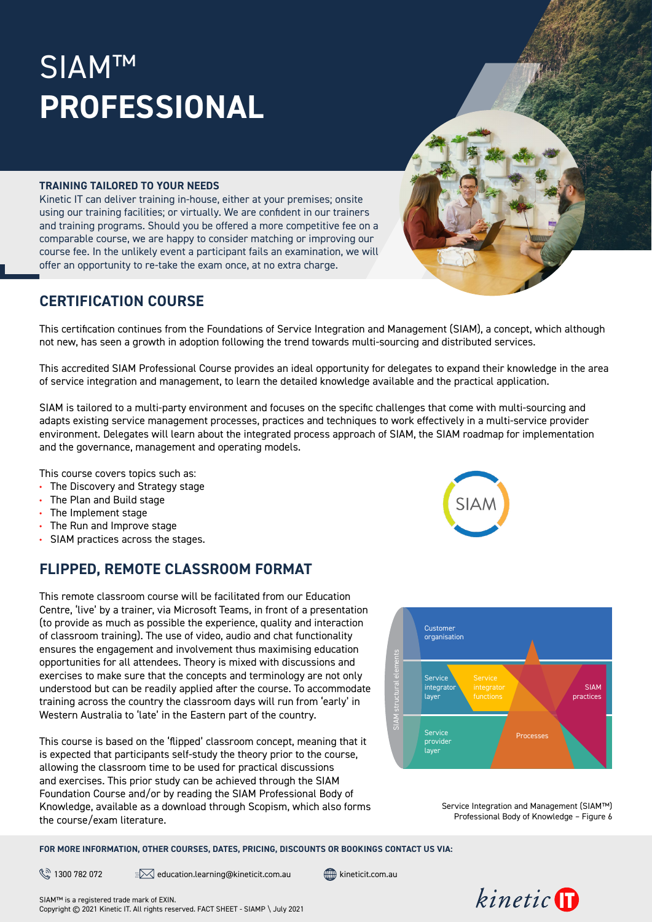# SIAM™ **PROFESSIONAL**

#### **TRAINING TAILORED TO YOUR NEEDS**

Kinetic IT can deliver training in-house, either at your premises; onsite using our training facilities; or virtually. We are confident in our trainers and training programs. Should you be offered a more competitive fee on a comparable course, we are happy to consider matching or improving our course fee. In the unlikely event a participant fails an examination, we will offer an opportunity to re-take the exam once, at no extra charge.

### **CERTIFICATION COURSE**

This certification continues from the Foundations of Service Integration and Management (SIAM), a concept, which although not new, has seen a growth in adoption following the trend towards multi-sourcing and distributed services.

This accredited SIAM Professional Course provides an ideal opportunity for delegates to expand their knowledge in the area of service integration and management, to learn the detailed knowledge available and the practical application.

SIAM is tailored to a multi-party environment and focuses on the specific challenges that come with multi-sourcing and adapts existing service management processes, practices and techniques to work effectively in a multi-service provider environment. Delegates will learn about the integrated process approach of SIAM, the SIAM roadmap for implementation and the governance, management and operating models.

This course covers topics such as:

- **•** The Discovery and Strategy stage
- **•** The Plan and Build stage
- **•** The Implement stage
- **•** The Run and Improve stage
- **•** SIAM practices across the stages.

# **FLIPPED, REMOTE CLASSROOM FORMAT**

This remote classroom course will be facilitated from our Education Centre, 'live' by a trainer, via Microsoft Teams, in front of a presentation (to provide as much as possible the experience, quality and interaction of classroom training). The use of video, audio and chat functionality ensures the engagement and involvement thus maximising education opportunities for all attendees. Theory is mixed with discussions and exercises to make sure that the concepts and terminology are not only understood but can be readily applied after the course. To accommodate training across the country the classroom days will run from 'early' in Western Australia to 'late' in the Eastern part of the country.

This course is based on the 'flipped' classroom concept, meaning that it is expected that participants self-study the theory prior to the course, allowing the classroom time to be used for practical discussions and exercises. This prior study can be achieved through the SIAM Foundation Course and/or by reading the SIAM Professional Body of Knowledge, available as a download through Scopism, which also forms the course/exam literature.

**FOR MORE INFORMATION, OTHER COURSES, DATES, PRICING, DISCOUNTS OR BOOKINGS CONTACT US VIA:**

 $\mathbb{R}^{\mathbb{Z}}$  1300 782 072  $\mathbb{Z}$  education.learning@[kineticit.com.au](http://kineticit.com.au)  $\mathbb{R}$  kineticit.com.au









Service Integration and Management (SIAM™) Professional Body of Knowledge – Figure 6